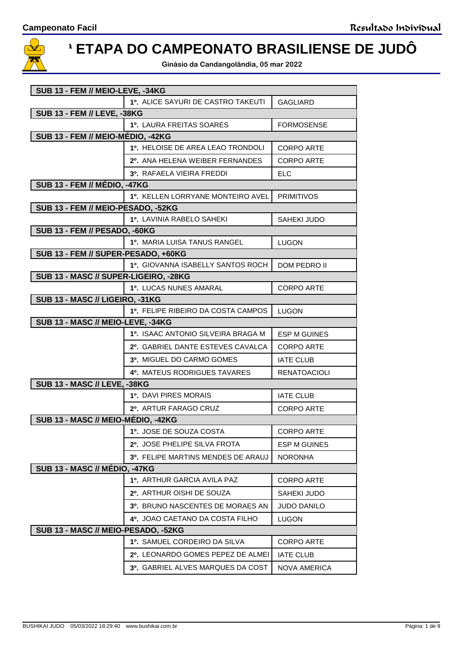

## **2ª ETAPA DO CAMPEONATO BRASILIENSE DE JUDÔ**

**Ginásio da Candangolândia, 05 mar 2022**

| SUB 13 - FEM // MEIO-LEVE, -34KG      |                                    |                     |  |
|---------------------------------------|------------------------------------|---------------------|--|
|                                       | 1º. ALICE SAYURI DE CASTRO TAKEUTI | <b>GAGLIARD</b>     |  |
| <b>SUB 13 - FEM // LEVE, -38KG</b>    |                                    |                     |  |
|                                       | 1º. LAURA FREITAS SOARES           | <b>FORMOSENSE</b>   |  |
| SUB 13 - FEM // MEIO-MÉDIO, -42KG     |                                    |                     |  |
|                                       | 1º. HELOISE DE AREA LEAO TRONDOLI  | <b>CORPO ARTE</b>   |  |
|                                       | 2º. ANA HELENA WEIBER FERNANDES    | <b>CORPO ARTE</b>   |  |
|                                       | 3º. RAFAELA VIEIRA FREDDI          | <b>ELC</b>          |  |
| <b>SUB 13 - FEM // MÉDIO, -47KG</b>   |                                    |                     |  |
|                                       | 10. KELLEN LORRYANE MONTEIRO AVEL  | <b>PRIMITIVOS</b>   |  |
| SUB 13 - FEM // MEIO-PESADO, -52KG    |                                    |                     |  |
|                                       | 1º. LAVINIA RABELO SAHEKI          | SAHEKI JUDO         |  |
| SUB 13 - FEM // PESADO, -60KG         |                                    |                     |  |
|                                       | 1º. MARIA LUISA TANUS RANGEL       | <b>LUGON</b>        |  |
| SUB 13 - FEM // SUPER-PESADO, +60KG   |                                    |                     |  |
|                                       | 1º. GIOVANNA ISABELLY SANTOS ROCH  | DOM PEDRO II        |  |
| SUB 13 - MASC // SUPER-LIGEIRO, -28KG |                                    |                     |  |
|                                       | 1º. LUCAS NUNES AMARAL             | <b>CORPO ARTE</b>   |  |
| SUB 13 - MASC // LIGEIRO, -31KG       |                                    |                     |  |
|                                       | 1º. FELIPE RIBEIRO DA COSTA CAMPOS | <b>LUGON</b>        |  |
| SUB 13 - MASC // MEIO-LEVE, -34KG     | 1º. ISAAC ANTONIO SILVEIRA BRAGA M | <b>ESP M GUINES</b> |  |
|                                       |                                    |                     |  |
|                                       | 2º. GABRIEL DANTE ESTEVES CAVALCA  | <b>CORPO ARTE</b>   |  |
|                                       | 3º. MIGUEL DO CARMO GOMES          | <b>IATE CLUB</b>    |  |
|                                       | 4º. MATEUS RODRIGUES TAVARES       | <b>RENATOACIOLI</b> |  |
| <b>SUB 13 - MASC // LEVE, -38KG</b>   |                                    |                     |  |
|                                       | 1º. DAVI PIRES MORAIS              | <b>IATE CLUB</b>    |  |
|                                       | 2º. ARTUR FARAGO CRUZ              | <b>CORPO ARTE</b>   |  |
| SUB 13 - MASC // MEIO-MÉDIO, -42KG    |                                    |                     |  |
|                                       | 1º. JOSE DE SOUZA COSTA            | <b>CORPO ARTE</b>   |  |
|                                       | 2º. JOSE PHELIPE SILVA FROTA       | <b>ESP M GUINES</b> |  |
|                                       | 3º. FELIPE MARTINS MENDES DE ARAUJ | <b>NORONHA</b>      |  |
| SUB 13 - MASC // MÉDIO, -47KG         |                                    |                     |  |
|                                       | 1º. ARTHUR GARCIA AVILA PAZ        | <b>CORPO ARTE</b>   |  |
|                                       | 2º. ARTHUR OISHI DE SOUZA          | SAHEKI JUDO         |  |
|                                       | 3º. BRUNO NASCENTES DE MORAES AN   | <b>JUDO DANILO</b>  |  |
|                                       | 4º. JOAO CAETANO DA COSTA FILHO    | <b>LUGON</b>        |  |
| SUB 13 - MASC // MEIO-PESADO, -52KG   |                                    |                     |  |
|                                       | 1º. SAMUEL CORDEIRO DA SILVA       | <b>CORPO ARTE</b>   |  |
|                                       | 2º. LEONARDO GOMES PEPEZ DE ALMEI  | <b>IATE CLUB</b>    |  |
|                                       | 3º. GABRIEL ALVES MARQUES DA COST  | <b>NOVA AMERICA</b> |  |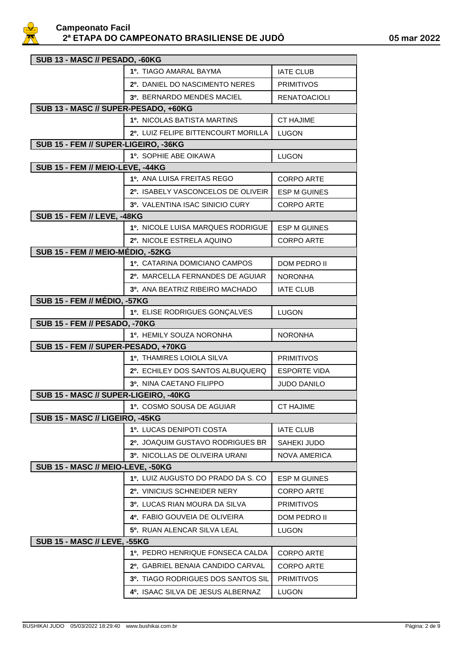

| SUB 13 - MASC // PESADO, -60KG        |                                      |                     |  |
|---------------------------------------|--------------------------------------|---------------------|--|
|                                       | 1º. TIAGO AMARAL BAYMA               | <b>IATE CLUB</b>    |  |
|                                       | 2º. DANIEL DO NASCIMENTO NERES       | <b>PRIMITIVOS</b>   |  |
|                                       | 3º. BERNARDO MENDES MACIEL           | <b>RENATOACIOLI</b> |  |
| SUB 13 - MASC // SUPER-PESADO, +60KG  |                                      |                     |  |
|                                       | <b>1º. NICOLAS BATISTA MARTINS</b>   | <b>CT HAJIME</b>    |  |
|                                       | 2º. LUIZ FELIPE BITTENCOURT MORILLA  | <b>LUGON</b>        |  |
| SUB 15 - FEM // SUPER-LIGEIRO, -36KG  |                                      |                     |  |
|                                       | 1º. SOPHIE ABE OIKAWA                | <b>LUGON</b>        |  |
| SUB 15 - FEM // MEIO-LEVE, -44KG      |                                      |                     |  |
|                                       | 1º. ANA LUISA FREITAS REGO           | <b>CORPO ARTE</b>   |  |
|                                       | 2º. ISABELY VASCONCELOS DE OLIVEIR   | <b>ESP M GUINES</b> |  |
|                                       | 3º. VALENTINA ISAC SINICIO CURY      | <b>CORPO ARTE</b>   |  |
| <b>SUB 15 - FEM // LEVE, -48KG</b>    |                                      |                     |  |
|                                       | 1º. NICOLE LUISA MARQUES RODRIGUE    | <b>ESP M GUINES</b> |  |
|                                       | 2º. NICOLE ESTRELA AQUINO            | <b>CORPO ARTE</b>   |  |
| SUB 15 - FEM // MEIO-MÉDIO, -52KG     |                                      |                     |  |
|                                       | 1º. CATARINA DOMICIANO CAMPOS        | <b>DOM PEDRO II</b> |  |
|                                       | 2º. MARCELLA FERNANDES DE AGUIAR     | <b>NORONHA</b>      |  |
|                                       | 3º. ANA BEATRIZ RIBEIRO MACHADO      | <b>IATE CLUB</b>    |  |
| <b>SUB 15 - FEM // MÉDIO, -57KG</b>   |                                      |                     |  |
|                                       | 1º. ELISE RODRIGUES GONÇALVES        | <b>LUGON</b>        |  |
| <b>SUB 15 - FEM // PESADO, -70KG</b>  |                                      |                     |  |
|                                       | 1º. HEMILY SOUZA NORONHA             | <b>NORONHA</b>      |  |
| SUB 15 - FEM // SUPER-PESADO, +70KG   |                                      |                     |  |
|                                       | 1º. THAMIRES LOIOLA SILVA            | <b>PRIMITIVOS</b>   |  |
|                                       | 2º. ECHILEY DOS SANTOS ALBUQUERQ     | <b>ESPORTE VIDA</b> |  |
|                                       | 3º. NINA CAETANO FILIPPO             | <b>JUDO DANILO</b>  |  |
| SUB 15 - MASC // SUPER-LIGEIRO, -40KG |                                      |                     |  |
|                                       | 1º. COSMO SOUSA DE AGUIAR            | <b>CT HAJIME</b>    |  |
| SUB 15 - MASC // LIGEIRO, -45KG       | <b>1º. LUCAS DENIPOTI COSTA</b>      | <b>IATE CLUB</b>    |  |
|                                       | 2º. JOAQUIM GUSTAVO RODRIGUES BR     |                     |  |
|                                       |                                      | SAHEKI JUDO         |  |
|                                       | 3º. NICOLLAS DE OLIVEIRA URANI       | NOVA AMERICA        |  |
| SUB 15 - MASC // MEIO-LEVE, -50KG     |                                      |                     |  |
|                                       | 1º. LUIZ AUGUSTO DO PRADO DA S. CO   | <b>ESP M GUINES</b> |  |
|                                       | 2º. VINICIUS SCHNEIDER NERY          | CORPO ARTE          |  |
|                                       | <b>3º. LUCAS RIAN MOURA DA SILVA</b> | <b>PRIMITIVOS</b>   |  |
|                                       | 4º. FABIO GOUVEIA DE OLIVEIRA        | <b>DOM PEDRO II</b> |  |
|                                       | 5º. RUAN ALENCAR SILVA LEAL          | <b>LUGON</b>        |  |
| <b>SUB 15 - MASC // LEVE, -55KG</b>   |                                      |                     |  |
|                                       | 1º. PEDRO HENRIQUE FONSECA CALDA     | <b>CORPO ARTE</b>   |  |
|                                       | 2º. GABRIEL BENAIA CANDIDO CARVAL    | CORPO ARTE          |  |
|                                       | 3º. TIAGO RODRIGUES DOS SANTOS SIL   | <b>PRIMITIVOS</b>   |  |
|                                       | 4º. ISAAC SILVA DE JESUS ALBERNAZ    | <b>LUGON</b>        |  |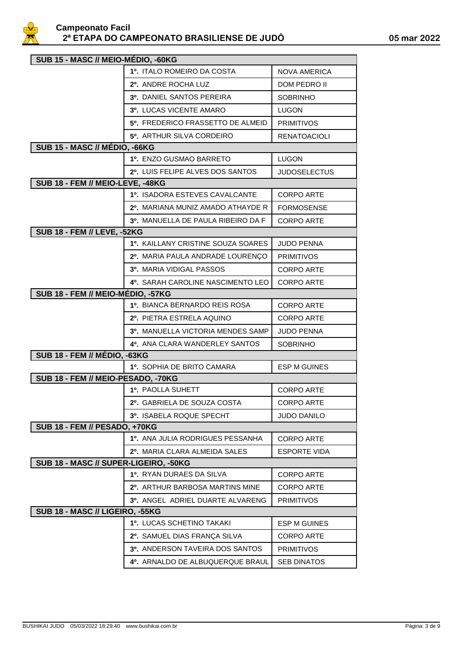

| SUB 15 - MASC // MEIO-MÉDIO, -60KG    |                                    |                     |  |
|---------------------------------------|------------------------------------|---------------------|--|
|                                       | 1º. ITALO ROMEIRO DA COSTA         | <b>NOVA AMERICA</b> |  |
|                                       | 2º. ANDRE ROCHA LUZ                | <b>DOM PEDRO II</b> |  |
|                                       | 3º. DANIEL SANTOS PEREIRA          | <b>SOBRINHO</b>     |  |
|                                       | <b>3º. LUCAS VICENTE AMARO</b>     | <b>LUGON</b>        |  |
|                                       | 5º. FREDERICO FRASSETTO DE ALMEID  | <b>PRIMITIVOS</b>   |  |
|                                       | 5º. ARTHUR SILVA CORDEIRO          | <b>RENATOACIOLI</b> |  |
| SUB 15 - MASC // MÉDIO, -66KG         |                                    |                     |  |
|                                       | 1º. ENZO GUSMAO BARRETO            | <b>LUGON</b>        |  |
|                                       | 2º. LUIS FELIPE ALVES DOS SANTOS   | <b>JUDOSELECTUS</b> |  |
| SUB 18 - FEM // MEIO-LEVE, -48KG      |                                    |                     |  |
|                                       | 1º. ISADORA ESTEVES CAVALCANTE     | <b>CORPO ARTE</b>   |  |
|                                       | 2º. MARIANA MUNIZ AMADO ATHAYDE R  | <b>FORMOSENSE</b>   |  |
|                                       | 3º. MANUELLA DE PAULA RIBEIRO DA F | <b>CORPO ARTE</b>   |  |
| <b>SUB 18 - FEM // LEVE, -52KG</b>    |                                    |                     |  |
|                                       | 1º. KAILLANY CRISTINE SOUZA SOARES | <b>JUDO PENNA</b>   |  |
|                                       | 2º. MARIA PAULA ANDRADE LOURENÇO   | <b>PRIMITIVOS</b>   |  |
|                                       | 3º. MARIA VIDIGAL PASSOS           | <b>CORPO ARTE</b>   |  |
|                                       | 4º. SARAH CAROLINE NASCIMENTO LEO  | <b>CORPO ARTE</b>   |  |
| SUB 18 - FEM // MEIO-MÉDIO, -57KG     |                                    |                     |  |
|                                       | 1º. BIANCA BERNARDO REIS ROSA      | <b>CORPO ARTE</b>   |  |
|                                       | 2º. PIETRA ESTRELA AQUINO          | <b>CORPO ARTE</b>   |  |
|                                       | 3º. MANUELLA VICTORIA MENDES SAMP  | <b>JUDO PENNA</b>   |  |
|                                       | 4º. ANA CLARA WANDERLEY SANTOS     | <b>SOBRINHO</b>     |  |
| SUB 18 - FEM // MÉDIO, -63KG          |                                    |                     |  |
|                                       | 1º. SOPHIA DE BRITO CAMARA         | <b>ESP M GUINES</b> |  |
| SUB 18 - FEM // MEIO-PESADO, -70KG    |                                    |                     |  |
|                                       | 1º. PAOLLA SUHETT                  | <b>CORPO ARTE</b>   |  |
|                                       | 2º. GABRIELA DE SOUZA COSTA        | CORPO ARTE          |  |
|                                       | 3º. ISABELA ROQUE SPECHT           | JUDO DANILO         |  |
| <b>SUB 18 - FEM // PESADO, +70KG</b>  |                                    |                     |  |
|                                       | 1º. ANA JULIA RODRIGUES PESSANHA   | <b>CORPO ARTE</b>   |  |
|                                       | 2º. MARIA CLARA ALMEIDA SALES      | <b>ESPORTE VIDA</b> |  |
| SUB 18 - MASC // SUPER-LIGEIRO, -50KG |                                    |                     |  |
|                                       | 1º. RYAN DURAES DA SILVA           | <b>CORPO ARTE</b>   |  |
|                                       | 2º. ARTHUR BARBOSA MARTINS MINE    | <b>CORPO ARTE</b>   |  |
|                                       | 3º. ANGEL ADRIEL DUARTE ALVARENG   | <b>PRIMITIVOS</b>   |  |
| SUB 18 - MASC // LIGEIRO, -55KG       |                                    |                     |  |
|                                       | 1º. LUCAS SCHETINO TAKAKI          | <b>ESP M GUINES</b> |  |
|                                       | 2º. SAMUEL DIAS FRANÇA SILVA       | <b>CORPO ARTE</b>   |  |
|                                       | 3º. ANDERSON TAVEIRA DOS SANTOS    | <b>PRIMITIVOS</b>   |  |
|                                       | 4º. ARNALDO DE ALBUQUERQUE BRAUL   | <b>SEB DINATOS</b>  |  |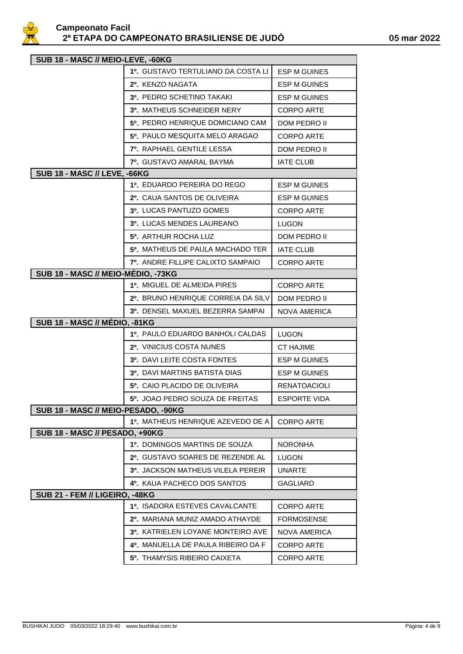

| SUB 18 - MASC // MEIO-LEVE, -60KG   |                                     |                     |  |
|-------------------------------------|-------------------------------------|---------------------|--|
|                                     | 1º. GUSTAVO TERTULIANO DA COSTA LI  | <b>ESP M GUINES</b> |  |
|                                     | 2º. KENZO NAGATA                    | <b>ESP M GUINES</b> |  |
|                                     | 3º, PEDRO SCHETINO TAKAKI           | <b>ESP M GUINES</b> |  |
|                                     | 3º. MATHEUS SCHNEIDER NERY          | <b>CORPO ARTE</b>   |  |
|                                     | 5º. PEDRO HENRIQUE DOMICIANO CAM    | DOM PEDRO II        |  |
|                                     | 5º, PAULO MESQUITA MELO ARAGAO      | <b>CORPO ARTE</b>   |  |
|                                     | <b>7º. RAPHAEL GENTILE LESSA</b>    | DOM PEDRO II        |  |
|                                     | <b>7º. GUSTAVO AMARAL BAYMA</b>     | <b>IATE CLUB</b>    |  |
| <b>SUB 18 - MASC // LEVE, -66KG</b> |                                     |                     |  |
|                                     | 1º, EDUARDO PEREIRA DO REGO         | <b>ESP M GUINES</b> |  |
|                                     | 2º. CAUA SANTOS DE OLIVEIRA         | <b>ESP M GUINES</b> |  |
|                                     | 3º. LUCAS PANTUZO GOMES             | <b>CORPO ARTE</b>   |  |
|                                     | <b>3º. LUCAS MENDES LAUREANO</b>    | LUGON               |  |
|                                     | 5 <sup>0</sup> . ARTHUR ROCHA LUZ   | DOM PEDRO II        |  |
|                                     | 5º. MATHEUS DE PAULA MACHADO TER    | <b>IATE CLUB</b>    |  |
|                                     | 7º. ANDRE FILLIPE CALIXTO SAMPAIO   | <b>CORPO ARTE</b>   |  |
| SUB 18 - MASC // MEIO-MEDIO, -73KG  |                                     |                     |  |
|                                     | 1º. MIGUEL DE ALMEIDA PIRES         | <b>CORPO ARTE</b>   |  |
|                                     | 2º. BRUNO HENRIQUE CORREIA DA SILVI | DOM PEDRO II        |  |
|                                     | 3º. DENSEL MAXUEL BEZERRA SAMPAI    | NOVA AMERICA        |  |
| SUB 18 - MASC // MÉDIO, -81KG       |                                     |                     |  |
|                                     | 1º. PAULO EDUARDO BANHOLI CALDAS    | <b>LUGON</b>        |  |
|                                     | 2º. VINICIUS COSTA NUNES            | <b>CT HAJIME</b>    |  |
|                                     | 3º. DAVI LEITE COSTA FONTES         | <b>ESP M GUINES</b> |  |
|                                     | 3º. DAVI MARTINS BATISTA DIAS       | ESP M GUINES        |  |
|                                     | 5º. CAIO PLACIDO DE OLIVEIRA        | <b>RENATOACIOLI</b> |  |
|                                     | 5º. JOAO PEDRO SOUZA DE FREITAS     | ESPORTE VIDA        |  |
| SUB 18 - MASC // MEIO-PESADO, -90KG |                                     |                     |  |
|                                     | 1º. MATHEUS HENRIQUE AZEVEDO DE A   | <b>CORPO ARTE</b>   |  |
| SUB 18 - MASC // PESADO, +90KG      |                                     |                     |  |
|                                     | 1º. DOMINGOS MARTINS DE SOUZA       | <b>NORONHA</b>      |  |
|                                     | 2º. GUSTAVO SOARES DE REZENDE AL    | LUGON               |  |
|                                     | 3º. JACKSON MATHEUS VILELA PEREIR   | <b>UNARTE</b>       |  |
|                                     | 4º. KAUA PACHECO DOS SANTOS         | <b>GAGLIARD</b>     |  |
| SUB 21 - FEM // LIGEIRO, -48KG      |                                     |                     |  |
|                                     | 1º. ISADORA ESTEVES CAVALCANTE      | <b>CORPO ARTE</b>   |  |
|                                     | 2º. MARIANA MUNIZ AMADO ATHAYDE     | <b>FORMOSENSE</b>   |  |
|                                     | 3º. KATRIELEN LOYANE MONTEIRO AVE   | <b>NOVA AMERICA</b> |  |
|                                     | 4º. MANUELLA DE PAULA RIBEIRO DA F  | <b>CORPO ARTE</b>   |  |
|                                     | 5º. THAMYSIS RIBEIRO CAIXETA        | <b>CORPO ARTE</b>   |  |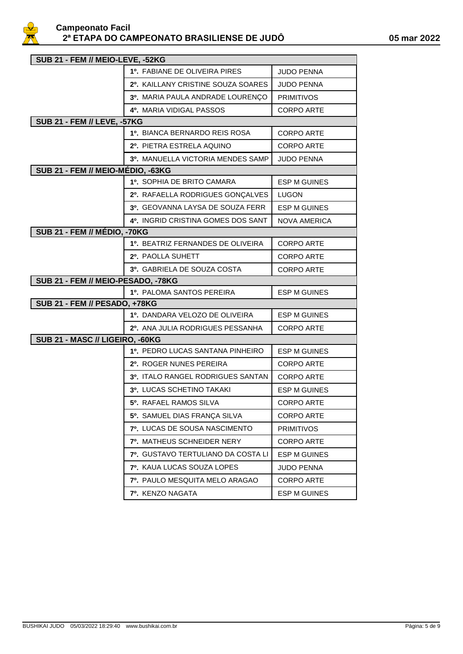

| SUB 21 - FEM // MEIO-LEVE, -52KG    |                                    |                     |  |
|-------------------------------------|------------------------------------|---------------------|--|
|                                     | 1º. FABIANE DE OLIVEIRA PIRES      | <b>JUDO PENNA</b>   |  |
|                                     | 2º. KAILLANY CRISTINE SOUZA SOARES | <b>JUDO PENNA</b>   |  |
|                                     | 3º. MARIA PAULA ANDRADE LOURENÇO   | <b>PRIMITIVOS</b>   |  |
|                                     | 4º. MARIA VIDIGAL PASSOS           | <b>CORPO ARTE</b>   |  |
| <b>SUB 21 - FEM // LEVE, -57KG</b>  |                                    |                     |  |
|                                     | 1º. BIANCA BERNARDO REIS ROSA      | <b>CORPO ARTE</b>   |  |
|                                     | 2º. PIETRA ESTRELA AQUINO          | <b>CORPO ARTE</b>   |  |
|                                     | 3º. MANUELLA VICTORIA MENDES SAMP  | <b>JUDO PENNA</b>   |  |
| SUB 21 - FEM // MEIO-MÉDIO, -63KG   |                                    |                     |  |
|                                     | 1º. SOPHIA DE BRITO CAMARA         | <b>ESP M GUINES</b> |  |
|                                     | 2º. RAFAELLA RODRIGUES GONÇALVES   | LUGON               |  |
|                                     | 3º. GEOVANNA LAYSA DE SOUZA FERR   | <b>ESP M GUINES</b> |  |
|                                     | 4º. INGRID CRISTINA GOMES DOS SANT | <b>NOVA AMERICA</b> |  |
| <b>SUB 21 - FEM // MÉDIO, -70KG</b> |                                    |                     |  |
|                                     | 1º. BEATRIZ FERNANDES DE OLIVEIRA  | <b>CORPO ARTE</b>   |  |
|                                     | 2º. PAOLLA SUHETT                  | <b>CORPO ARTE</b>   |  |
|                                     | 3º. GABRIELA DE SOUZA COSTA        | <b>CORPO ARTE</b>   |  |
| SUB 21 - FEM // MEIO-PESADO, -78KG  |                                    |                     |  |
|                                     | 1º. PALOMA SANTOS PEREIRA          | <b>ESP M GUINES</b> |  |
| SUB 21 - FEM // PESADO, +78KG       |                                    |                     |  |
|                                     | 1º. DANDARA VELOZO DE OLIVEIRA     | <b>ESP M GUINES</b> |  |
|                                     | 2º. ANA JULIA RODRIGUES PESSANHA   | <b>CORPO ARTE</b>   |  |
| SUB 21 - MASC // LIGEIRO, -60KG     |                                    |                     |  |
|                                     | 1º. PEDRO LUCAS SANTANA PINHEIRO   | <b>ESP M GUINES</b> |  |
|                                     | 2º. ROGER NUNES PEREIRA            | <b>CORPO ARTE</b>   |  |
|                                     | 3º. ITALO RANGEL RODRIGUES SANTAN  | <b>CORPO ARTE</b>   |  |
|                                     | 3º. LUCAS SCHETINO TAKAKI          | <b>ESP M GUINES</b> |  |
|                                     | 5º. RAFAEL RAMOS SILVA             | CORPO ARTE          |  |
|                                     | 5º. SAMUEL DIAS FRANÇA SILVA       | <b>CORPO ARTE</b>   |  |
|                                     | 7º. LUCAS DE SOUSA NASCIMENTO      | <b>PRIMITIVOS</b>   |  |
|                                     | 7º. MATHEUS SCHNEIDER NERY         | <b>CORPO ARTE</b>   |  |
|                                     | 7º. GUSTAVO TERTULIANO DA COSTA LI | <b>ESP M GUINES</b> |  |
|                                     | 7º. KAUA LUCAS SOUZA LOPES         | <b>JUDO PENNA</b>   |  |
|                                     | 7º. PAULO MESQUITA MELO ARAGAO     | <b>CORPO ARTE</b>   |  |
|                                     | 7º. KENZO NAGATA                   | <b>ESP M GUINES</b> |  |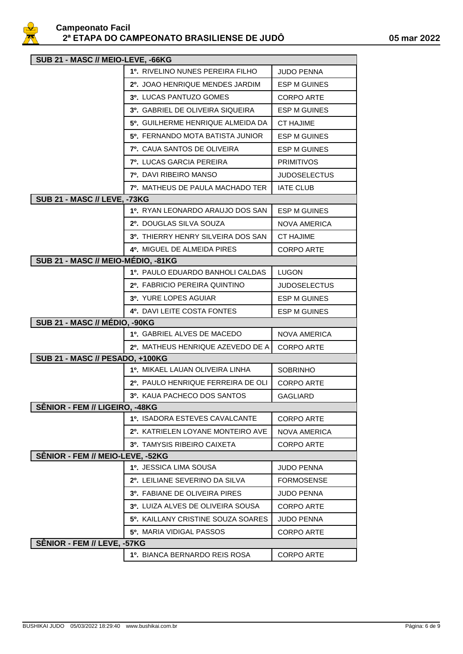

| SUB 21 - MASC // MEIO-LEVE, -66KG      |                                           |                     |  |
|----------------------------------------|-------------------------------------------|---------------------|--|
|                                        | 1º. RIVELINO NUNES PEREIRA FILHO          | <b>JUDO PENNA</b>   |  |
|                                        | 2º. JOAO HENRIQUE MENDES JARDIM           | <b>ESP M GUINES</b> |  |
|                                        | 3º. LUCAS PANTUZO GOMES                   | CORPO ARTE          |  |
|                                        | 3º. GABRIEL DE OLIVEIRA SIQUEIRA          | <b>ESP M GUINES</b> |  |
|                                        | 5º. GUILHERME HENRIQUE ALMEIDA DA         | <b>CT HAJIME</b>    |  |
|                                        | 5º. FERNANDO MOTA BATISTA JUNIOR          | <b>ESP M GUINES</b> |  |
|                                        | <b>7º.</b> CAUA SANTOS DE OLIVEIRA        | ESP M GUINES        |  |
|                                        | <b>7º. LUCAS GARCIA PEREIRA</b>           | <b>PRIMITIVOS</b>   |  |
|                                        | <b>7º.</b> DAVI RIBEIRO MANSO             | JUDOSELECTUS        |  |
|                                        | 7º. MATHEUS DE PAULA MACHADO TER          | <b>IATE CLUB</b>    |  |
| <b>SUB 21 - MASC // LEVE, -73KG</b>    |                                           |                     |  |
|                                        | 1º. RYAN LEONARDO ARAUJO DOS SAN          | <b>ESP M GUINES</b> |  |
|                                        | 2º. DOUGLAS SILVA SOUZA                   | NOVA AMERICA        |  |
|                                        | <b>3º. THIERRY HENRY SILVEIRA DOS SAN</b> | <b>CT HAJIME</b>    |  |
|                                        | <b>4º. MIGUEL DE ALMEIDA PIRES</b>        | <b>CORPO ARTE</b>   |  |
| SUB 21 - MASC // MEIO-MÉDIO, -81KG     |                                           |                     |  |
|                                        | 1º. PAULO EDUARDO BANHOLI CALDAS          | <b>LUGON</b>        |  |
|                                        | 2º. FABRICIO PEREIRA QUINTINO             | <b>JUDOSELECTUS</b> |  |
|                                        | 3º. YURE LOPES AGUIAR                     | ESP M GUINES        |  |
|                                        | 4º. DAVI LEITE COSTA FONTES               | ESP M GUINES        |  |
| SUB 21 - MASC // MÉDIO, -90KG          |                                           |                     |  |
|                                        | 1º. GABRIEL ALVES DE MACEDO               | <b>NOVA AMERICA</b> |  |
|                                        | 2º. MATHEUS HENRIQUE AZEVEDO DE A         | <b>CORPO ARTE</b>   |  |
| <b>SUB 21 - MASC // PESADO, +100KG</b> |                                           |                     |  |
|                                        | 1º. MIKAEL LAUAN OLIVEIRA LINHA           | <b>SOBRINHO</b>     |  |
|                                        | 2º. PAULO HENRIQUE FERREIRA DE OLI        | <b>CORPO ARTE</b>   |  |
|                                        | 3º. KAUA PACHECO DOS SANTOS               | <b>GAGLIARD</b>     |  |
| SÊNIOR - FEM // LIGEIRO, -48KG         |                                           |                     |  |
|                                        | <b>1º. ISADORA ESTEVES CAVALCANTE</b>     | <b>CORPO ARTE</b>   |  |
|                                        | 2º. KATRIELEN LOYANE MONTEIRO AVE         | <b>NOVA AMERICA</b> |  |
| SËNIOR - FEM // MEIO-LEVE, -52KG       | 3º. TAMYSIS RIBEIRO CAIXETA               | <b>CORPO ARTE</b>   |  |
|                                        | <b>1º. JESSICA LIMA SOUSA</b>             | <b>JUDO PENNA</b>   |  |
|                                        | 2º. LEILIANE SEVERINO DA SILVA            | <b>FORMOSENSE</b>   |  |
|                                        | <b>3º. FABIANE DE OLIVEIRA PIRES</b>      | <b>JUDO PENNA</b>   |  |
|                                        | 3º. LUIZA ALVES DE OLIVEIRA SOUSA         | <b>CORPO ARTE</b>   |  |
|                                        | 5º. KAILLANY CRISTINE SOUZA SOARES        |                     |  |
|                                        |                                           | <b>JUDO PENNA</b>   |  |
| SÊNIOR - FEM // LEVE, -57KG            | 5º. MARIA VIDIGAL PASSOS                  | <b>CORPO ARTE</b>   |  |
|                                        | 1º. BIANCA BERNARDO REIS ROSA             | <b>CORPO ARTE</b>   |  |
|                                        |                                           |                     |  |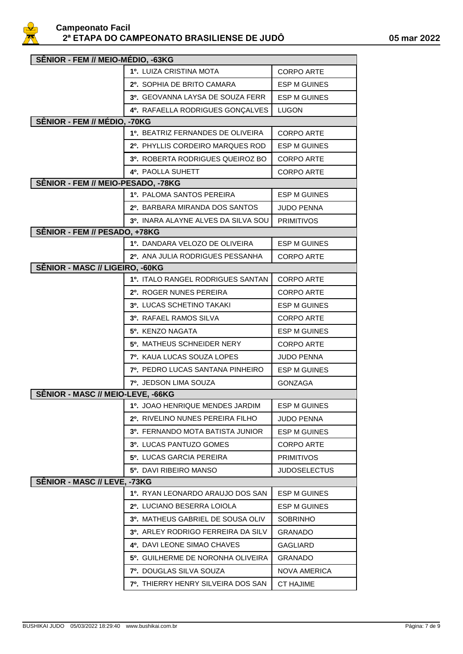

| SÊNIOR - FEM // MEIO-MÉDIO, -63KG  |                                         |                     |  |
|------------------------------------|-----------------------------------------|---------------------|--|
|                                    | 1º. LUIZA CRISTINA MOTA                 | <b>CORPO ARTE</b>   |  |
|                                    | 2º. SOPHIA DE BRITO CAMARA              | <b>ESP M GUINES</b> |  |
|                                    | <b>3º. GEOVANNA LAYSA DE SOUZA FERR</b> | <b>ESP M GUINES</b> |  |
|                                    | 4º. RAFAELLA RODRIGUES GONÇALVES        | <b>LUGON</b>        |  |
| SÊNIOR - FEM // MÉDIO, -70KG       |                                         |                     |  |
|                                    | 1º. BEATRIZ FERNANDES DE OLIVEIRA       | <b>CORPO ARTE</b>   |  |
|                                    | 2º. PHYLLIS CORDEIRO MARQUES ROD        | <b>ESP M GUINES</b> |  |
|                                    | 3º, ROBERTA RODRIGUES QUEIROZ BO        | <b>CORPO ARTE</b>   |  |
|                                    | <b>4º. PAOLLA SUHETT</b>                | <b>CORPO ARTE</b>   |  |
| SÊNIOR - FEM // MEIO-PESADO, -78KG |                                         |                     |  |
|                                    | 1º. PALOMA SANTOS PEREIRA               | <b>ESP M GUINES</b> |  |
|                                    | 2º. BARBARA MIRANDA DOS SANTOS          | <b>JUDO PENNA</b>   |  |
|                                    | 3º. INARA ALAYNE ALVES DA SILVA SOU     | <b>PRIMITIVOS</b>   |  |
| SÊNIOR - FEM // PESADO, +78KG      |                                         |                     |  |
|                                    | 1º. DANDARA VELOZO DE OLIVEIRA          | <b>ESP M GUINES</b> |  |
|                                    | 2º. ANA JULIA RODRIGUES PESSANHA        | <b>CORPO ARTE</b>   |  |
| SÊNIOR - MASC // LIGEIRO, -60KG    |                                         |                     |  |
|                                    | 1º. ITALO RANGEL RODRIGUES SANTAN       | <b>CORPO ARTE</b>   |  |
|                                    | 2º. ROGER NUNES PEREIRA                 | <b>CORPO ARTE</b>   |  |
|                                    | 3º. LUCAS SCHETINO TAKAKI               | <b>ESP M GUINES</b> |  |
|                                    | 3º. RAFAEL RAMOS SILVA                  | <b>CORPO ARTE</b>   |  |
|                                    | 5º. KENZO NAGATA                        | <b>ESP M GUINES</b> |  |
|                                    | 5º. MATHEUS SCHNEIDER NERY              | <b>CORPO ARTE</b>   |  |
|                                    | <b>7º. KAUA LUCAS SOUZA LOPES</b>       | <b>JUDO PENNA</b>   |  |
|                                    | 7º, PEDRO LUCAS SANTANA PINHEIRO        | <b>ESP M GUINES</b> |  |
|                                    | <b>7º. JEDSON LIMA SOUZA</b>            | <b>GONZAGA</b>      |  |
| SÊNIOR - MASC // MEIO-LEVE, -66KG  |                                         |                     |  |
|                                    | 1º. JOAO HENRIQUE MENDES JARDIM         | <b>ESP M GUINES</b> |  |
|                                    | 2º. RIVELINO NUNES PEREIRA FILHO        | JUDO PENNA          |  |
|                                    | 3º. FERNANDO MOTA BATISTA JUNIOR        | <b>ESP M GUINES</b> |  |
|                                    | 3º. LUCAS PANTUZO GOMES                 | <b>CORPO ARTE</b>   |  |
|                                    | 5º. LUCAS GARCIA PEREIRA                | <b>PRIMITIVOS</b>   |  |
|                                    | 5º. DAVI RIBEIRO MANSO                  | <b>JUDOSELECTUS</b> |  |
| SÊNIOR - MASC // LEVE, -73KG       |                                         |                     |  |
|                                    | 1º. RYAN LEONARDO ARAUJO DOS SAN        | ESP M GUINES        |  |
|                                    | 2º. LUCIANO BESERRA LOIOLA              | ESP M GUINES        |  |
|                                    | 3º. MATHEUS GABRIEL DE SOUSA OLIV       | <b>SOBRINHO</b>     |  |
|                                    | 3º. ARLEY RODRIGO FERREIRA DA SILV      | <b>GRANADO</b>      |  |
|                                    | 4º. DAVI LEONE SIMAO CHAVES             | GAGLIARD            |  |
|                                    | 5º. GUILHERME DE NORONHA OLIVEIRA       | GRANADO             |  |
|                                    | <b>7º. DOUGLAS SILVA SOUZA</b>          | <b>NOVA AMERICA</b> |  |
|                                    | 7º. THIERRY HENRY SILVEIRA DOS SAN      | <b>CT HAJIME</b>    |  |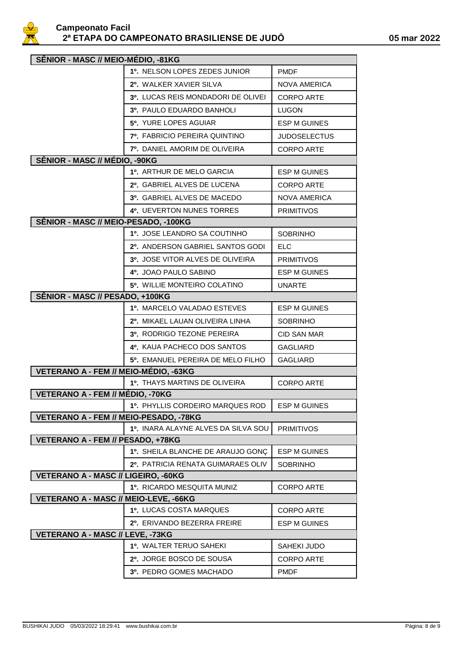

| SÊNIOR - MASC // MEIO-MÉDIO, -81KG           |                                      |                     |  |
|----------------------------------------------|--------------------------------------|---------------------|--|
|                                              | <b>1º. NELSON LOPES ZEDES JUNIOR</b> | <b>PMDF</b>         |  |
|                                              | 2º. WALKER XAVIER SILVA              | NOVA AMERICA        |  |
|                                              | 3º. LUCAS REIS MONDADORI DE OLIVEI   | CORPO ARTE          |  |
|                                              | <b>3º. PAULO EDUARDO BANHOLI</b>     | <b>LUGON</b>        |  |
|                                              | 5º. YURE LOPES AGUIAR                | ESP M GUINES        |  |
|                                              | <b>7º. FABRICIO PEREIRA QUINTINO</b> | <b>JUDOSELECTUS</b> |  |
|                                              | 7º. DANIEL AMORIM DE OLIVEIRA        | <b>CORPO ARTE</b>   |  |
| SÊNIOR - MASC // MÉDIO, -90KG                |                                      |                     |  |
|                                              | 1º. ARTHUR DE MELO GARCIA            | ESP M GUINES        |  |
|                                              | 2º. GABRIEL ALVES DE LUCENA          | CORPO ARTE          |  |
|                                              | 3º. GABRIEL ALVES DE MACEDO          | <b>NOVA AMERICA</b> |  |
|                                              | <b>4º. UEVERTON NUNES TORRES</b>     | <b>PRIMITIVOS</b>   |  |
| SÊNIOR - MASC // MEIO-PESADO, -100KG         |                                      |                     |  |
|                                              | 1º. JOSE LEANDRO SA COUTINHO         | <b>SOBRINHO</b>     |  |
|                                              | 2º. ANDERSON GABRIEL SANTOS GODI     | <b>ELC</b>          |  |
|                                              | 3º. JOSE VITOR ALVES DE OLIVEIRA     | <b>PRIMITIVOS</b>   |  |
|                                              | 4º. JOAO PAULO SABINO                | ESP M GUINES        |  |
|                                              | 5º. WILLIE MONTEIRO COLATINO         | <b>UNARTE</b>       |  |
| SÊNIOR - MASC // PESADO, +100KG              |                                      |                     |  |
|                                              | 1º. MARCELO VALADAO ESTEVES          | <b>ESP M GUINES</b> |  |
|                                              | 2º. MIKAEL LAUAN OLIVEIRA LINHA      | <b>SOBRINHO</b>     |  |
|                                              | <b>3º. RODRIGO TEZONE PEREIRA</b>    | <b>CID SAN MAR</b>  |  |
|                                              | 4º. KAUA PACHECO DOS SANTOS          | <b>GAGLIARD</b>     |  |
|                                              | 5º. EMANUEL PEREIRA DE MELO FILHO    | <b>GAGLIARD</b>     |  |
| VETERANO A - FEM // MEIO-MÉDIO, -63KG        |                                      |                     |  |
|                                              | <b>1º. THAYS MARTINS DE OLIVEIRA</b> | <b>CORPO ARTE</b>   |  |
| VETERANO A - FEM // MÉDIO, -70KG             |                                      |                     |  |
|                                              | 1º. PHYLLIS CORDEIRO MARQUES ROD     | <b>ESP M GUINES</b> |  |
| VETERANO A - FEM // MEIO-PESADO, -78KG       |                                      |                     |  |
| VETERANO A - FEM // PESADO, +78KG            | 1º. INARA ALAYNE ALVES DA SILVA SOU  | <b>PRIMITIVOS</b>   |  |
|                                              | 1º. SHEILA BLANCHE DE ARAUJO GONÇ    | ESP M GUINES        |  |
|                                              | 2º. PATRICIA RENATA GUIMARAES OLIV   | <b>SOBRINHO</b>     |  |
| <b>VETERANO A - MASC // LIGEIRO, -60KG</b>   |                                      |                     |  |
|                                              | <b>1º. RICARDO MESQUITA MUNIZ</b>    | <b>CORPO ARTE</b>   |  |
| <b>VETERANO A - MASC // MEIO-LEVE, -66KG</b> |                                      |                     |  |
|                                              | 1º. LUCAS COSTA MARQUES              | <b>CORPO ARTE</b>   |  |
|                                              | 2º. ERIVANDO BEZERRA FREIRE          | <b>ESP M GUINES</b> |  |
| VETERANO A - MASC // LEVE, -73KG             |                                      |                     |  |
|                                              | <b>1º. WALTER TERUO SAHEKI</b>       | SAHEKI JUDO         |  |
|                                              | 2º. JORGE BOSCO DE SOUSA             | <b>CORPO ARTE</b>   |  |
|                                              | 3º. PEDRO GOMES MACHADO              | <b>PMDF</b>         |  |